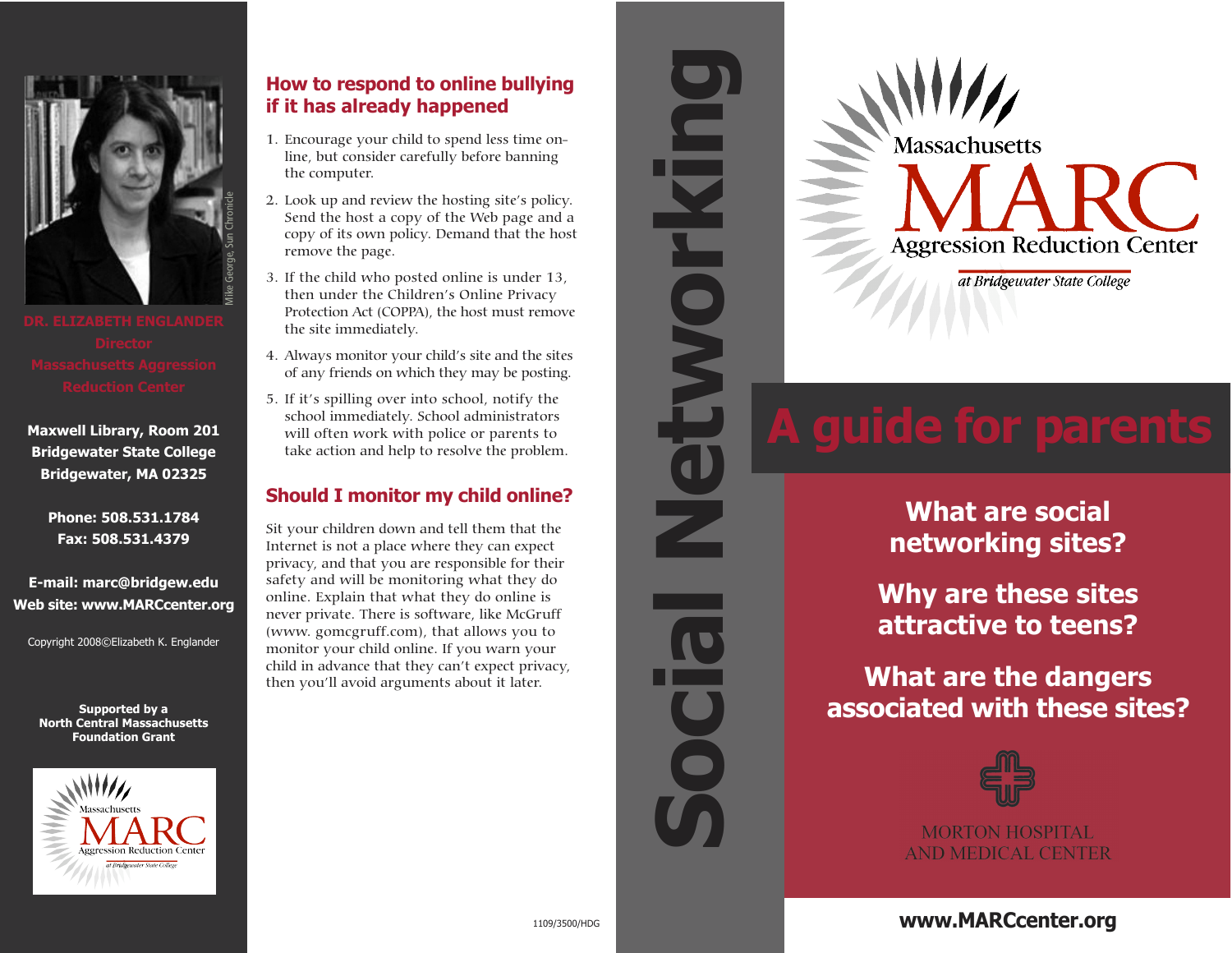

**Maxwell Library, Room 201 Bridgewater State College Bridgewater, MA 02325**

> **Phone: 508.531.1784 Fax: 508.531.4379**

**E-mail: marc@bridgew.edu Web site: www.MARCcenter.org**

Copyright 2008©Elizabeth K. Englander

**Supported by a North Central Massachusetts Foundation Grant**



# **How to respond to online bullying if it has already happened**

- 1. Encourage your child to spend less time online, but consider carefully before banning the computer.
- 2. Look up and review the hosting site's policy. Send the host a copy of the Web page and a copy of its own policy. Demand that the host remove the page.
- 3. If the child who posted online is under 13, then under the Children's Online Privacy Protection Act (COPPA), the host must remove the site immediately.
- 4. Always monitor your child's site and the sites of any friends on which they may be posting.
- 5. If it's spilling over into school, notify the school immediately. School administrators will often work with police or parents to take action and help to resolve the problem.

# **Should I monitor my child online?**

Sit your children down and tell them that the Internet is not a place where they can expect privacy, and that you are responsible for their safety and will be monitoring what they do online. Explain that what they do online is never private. There is software, like McGruff (www. gomcgruff.com), that allows you to monitor your child online. If you warn your child in advance that they can't expect privacy, then you'll avoid arguments about it later.